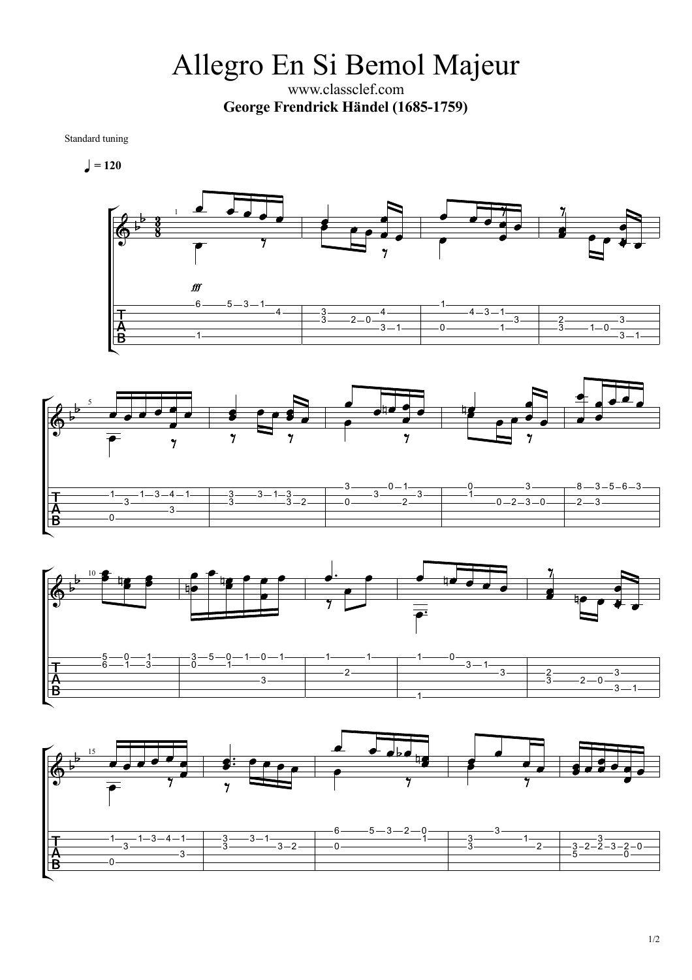Allegro En Si Bemol Majeur

www.classclef.com **George Frendrick Händel (1685-1759)**

Standard tuning